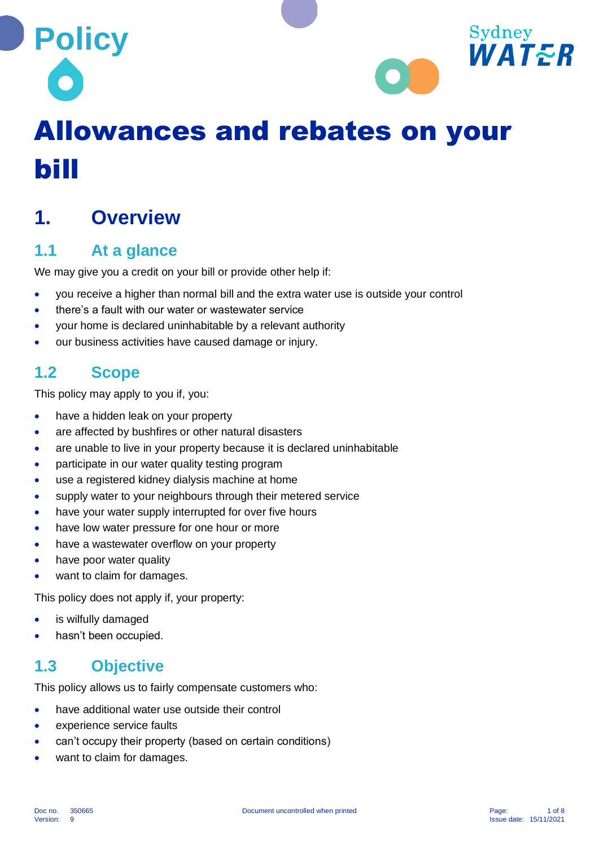



# Allowances and rebates on your bill

# **1. Overview**

# **1.1 At a glance**

We may give you a credit on your bill or provide other help if:

- you receive a higher than normal bill and the extra water use is outside your control
- there's a fault with our water or wastewater service
- your home is declared uninhabitable by a relevant authority
- our business activities have caused damage or injury.

# **1.2 Scope**

This policy may apply to you if, you:

- have a hidden leak on your property
- are affected by bushfires or other natural disasters
- are unable to live in your property because it is declared uninhabitable
- participate in our water quality testing program
- use a registered kidney dialysis machine at home
- supply water to your neighbours through their metered service
- have your water supply interrupted for over five hours
- have low water pressure for one hour or more
- have a wastewater overflow on your property
- have poor water quality
- want to claim for damages.

This policy does not apply if, your property:

- is wilfully damaged
- hasn't been occupied.

# **1.3 Objective**

This policy allows us to fairly compensate customers who:

- have additional water use outside their control
- experience service faults
- can't occupy their property (based on certain conditions)
- want to claim for damages.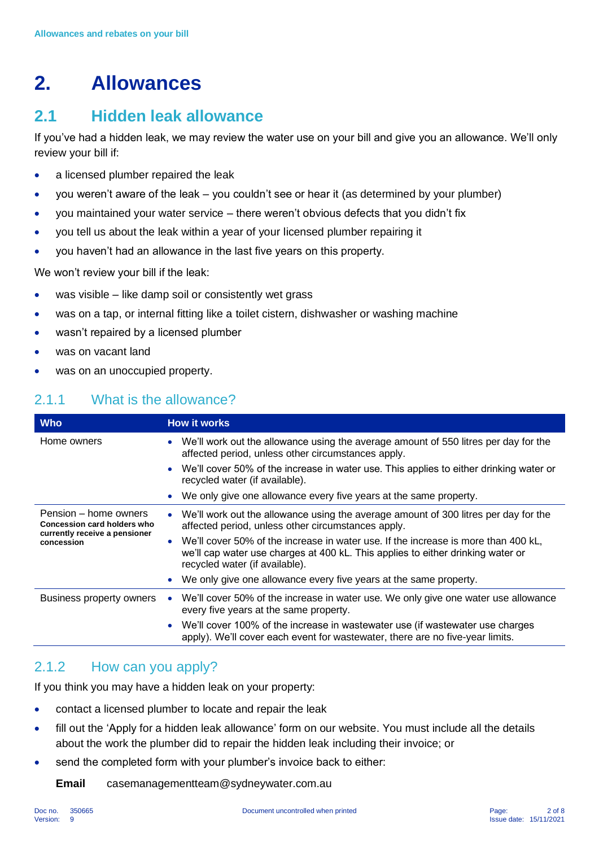# **2. Allowances**

# **2.1 Hidden leak allowance**

If you've had a hidden leak, we may review the water use on your bill and give you an allowance. We'll only review your bill if:

- a licensed plumber repaired the leak
- you weren't aware of the leak you couldn't see or hear it (as determined by your plumber)
- you maintained your water service there weren't obvious defects that you didn't fix
- you tell us about the leak within a year of your licensed plumber repairing it
- you haven't had an allowance in the last five years on this property.

We won't review your bill if the leak:

- was visible like damp soil or consistently wet grass
- was on a tap, or internal fitting like a toilet cistern, dishwasher or washing machine
- wasn't repaired by a licensed plumber
- was on vacant land
- was on an unoccupied property.

#### 2.1.1 What is the allowance?

| <b>Who</b>                                                                                          | <b>How it works</b>                                                                                                                                                                                     |
|-----------------------------------------------------------------------------------------------------|---------------------------------------------------------------------------------------------------------------------------------------------------------------------------------------------------------|
| Home owners                                                                                         | We'll work out the allowance using the average amount of 550 litres per day for the<br>$\bullet$<br>affected period, unless other circumstances apply.                                                  |
|                                                                                                     | • We'll cover 50% of the increase in water use. This applies to either drinking water or<br>recycled water (if available).                                                                              |
|                                                                                                     | We only give one allowance every five years at the same property.                                                                                                                                       |
| Pension – home owners<br>Concession card holders who<br>currently receive a pensioner<br>concession | We'll work out the allowance using the average amount of 300 litres per day for the<br>affected period, unless other circumstances apply.                                                               |
|                                                                                                     | We'll cover 50% of the increase in water use. If the increase is more than 400 kL,<br>we'll cap water use charges at 400 kL. This applies to either drinking water or<br>recycled water (if available). |
|                                                                                                     | We only give one allowance every five years at the same property.                                                                                                                                       |
| Business property owners                                                                            | We'll cover 50% of the increase in water use. We only give one water use allowance<br>every five years at the same property.                                                                            |
|                                                                                                     | We'll cover 100% of the increase in wastewater use (if wastewater use charges<br>apply). We'll cover each event for wastewater, there are no five-year limits.                                          |

#### 2.1.2 How can you apply?

If you think you may have a hidden leak on your property:

- contact a licensed plumber to locate and repair the leak
- fill out the 'Apply for a hidden leak allowance' form on our website. You must include all the details about the work the plumber did to repair the hidden leak including their invoice; or
- send the completed form with your plumber's invoice back to either:

**Email** casemanagementteam@sydneywater.com.au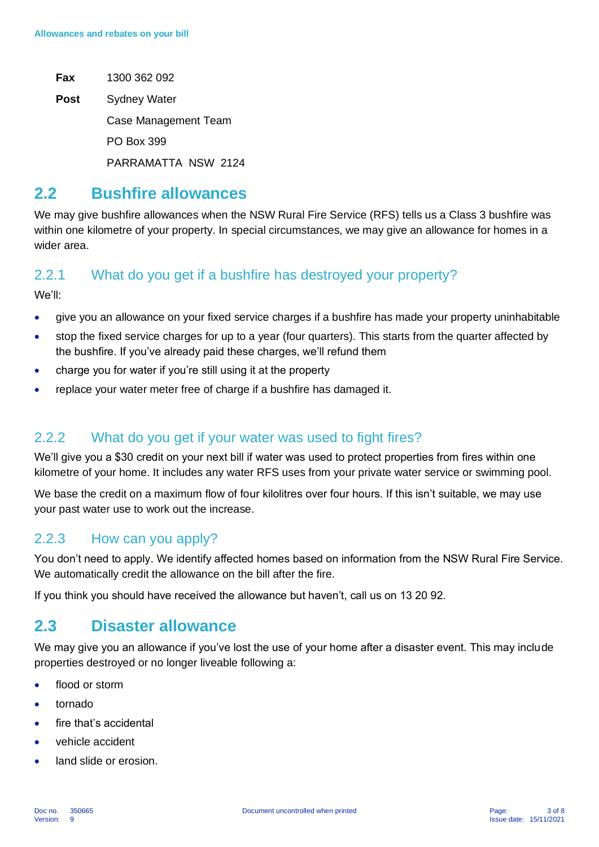- **Fax** 1300 362 092
- **Post** Sydney Water

Case Management Team

PO Box 399

PARRAMATTA NSW 2124

### **2.2 Bushfire allowances**

We may give bushfire allowances when the NSW Rural Fire Service (RFS) tells us a Class 3 bushfire was within one kilometre of your property. In special circumstances, we may give an allowance for homes in a wider area.

#### 2.2.1 What do you get if a bushfire has destroyed your property?

We'll:

- give you an allowance on your fixed service charges if a bushfire has made your property uninhabitable
- stop the fixed service charges for up to a year (four quarters). This starts from the quarter affected by the bushfire. If you've already paid these charges, we'll refund them
- charge you for water if you're still using it at the property
- replace your water meter free of charge if a bushfire has damaged it.

#### 2.2.2 What do you get if your water was used to fight fires?

We'll give you a \$30 credit on your next bill if water was used to protect properties from fires within one kilometre of your home. It includes any water RFS uses from your private water service or swimming pool.

We base the credit on a maximum flow of four kilolitres over four hours. If this isn't suitable, we may use your past water use to work out the increase.

#### 2.2.3 How can you apply?

You don't need to apply. We identify affected homes based on information from the NSW Rural Fire Service. We automatically credit the allowance on the bill after the fire.

If you think you should have received the allowance but haven't, call us on 13 20 92.

### **2.3 Disaster allowance**

We may give you an allowance if you've lost the use of your home after a disaster event. This may include properties destroyed or no longer liveable following a:

- flood or storm
- tornado
- fire that's accidental
- vehicle accident
- land slide or erosion.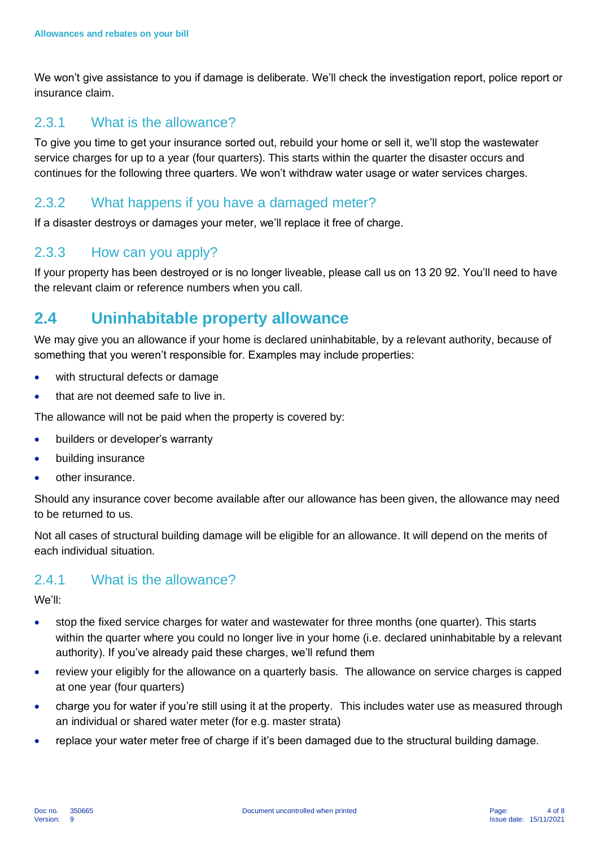We won't give assistance to you if damage is deliberate. We'll check the investigation report, police report or insurance claim.

#### 2.3.1 What is the allowance?

To give you time to get your insurance sorted out, rebuild your home or sell it, we'll stop the wastewater service charges for up to a year (four quarters). This starts within the quarter the disaster occurs and continues for the following three quarters. We won't withdraw water usage or water services charges.

#### 2.3.2 What happens if you have a damaged meter?

If a disaster destroys or damages your meter, we'll replace it free of charge.

#### 2.3.3 How can you apply?

If your property has been destroyed or is no longer liveable, please call us on 13 20 92. You'll need to have the relevant claim or reference numbers when you call.

# **2.4 Uninhabitable property allowance**

We may give you an allowance if your home is declared uninhabitable, by a relevant authority, because of something that you weren't responsible for. Examples may include properties:

- with structural defects or damage
- that are not deemed safe to live in.

The allowance will not be paid when the property is covered by:

- builders or developer's warranty
- building insurance
- other insurance.

Should any insurance cover become available after our allowance has been given, the allowance may need to be returned to us.

Not all cases of structural building damage will be eligible for an allowance. It will depend on the merits of each individual situation.

#### 2.4.1 What is the allowance?

We'll:

- stop the fixed service charges for water and wastewater for three months (one quarter). This starts within the quarter where you could no longer live in your home (i.e. declared uninhabitable by a relevant authority). If you've already paid these charges, we'll refund them
- review your eligibly for the allowance on a quarterly basis. The allowance on service charges is capped at one year (four quarters)
- charge you for water if you're still using it at the property. This includes water use as measured through an individual or shared water meter (for e.g. master strata)
- replace your water meter free of charge if it's been damaged due to the structural building damage.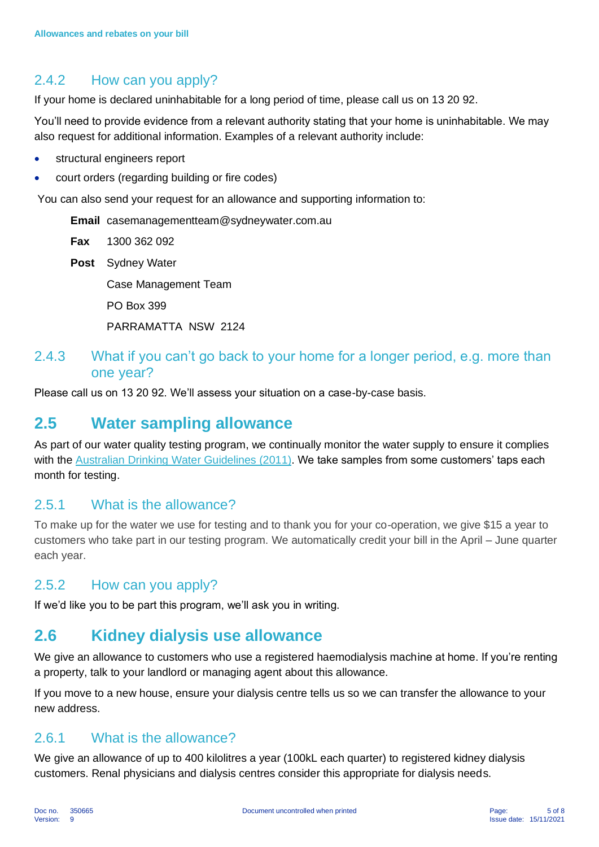#### 2.4.2 How can you apply?

If your home is declared uninhabitable for a long period of time, please call us on 13 20 92.

You'll need to provide evidence from a relevant authority stating that your home is uninhabitable. We may also request for additional information. Examples of a relevant authority include:

- structural engineers report
- court orders (regarding building or fire codes)

You can also send your request for an allowance and supporting information to:

**Email** casemanagementteam@sydneywater.com.au

**Fax** 1300 362 092

**Post** Sydney Water

Case Management Team

PO Box 399

PARRAMATTA NSW 2124

#### 2.4.3 What if you can't go back to your home for a longer period, e.g. more than one year?

Please call us on 13 20 92. We'll assess your situation on a case-by-case basis.

### **2.5 Water sampling allowance**

As part of our water quality testing program, we continually monitor the water supply to ensure it complies with the [Australian Drinking Water Guidelines \(2011\).](https://www.nhmrc.gov.au/about-us/publications/australian-drinking-water-guidelines) We take samples from some customers' taps each month for testing.

#### 2.5.1 What is the allowance?

To make up for the water we use for testing and to thank you for your co-operation, we give \$15 a year to customers who take part in our testing program. We automatically credit your bill in the April – June quarter each year.

#### 2.5.2 How can you apply?

If we'd like you to be part this program, we'll ask you in writing.

# **2.6 Kidney dialysis use allowance**

We give an allowance to customers who use a registered haemodialysis machine at home. If you're renting a property, talk to your landlord or managing agent about this allowance.

If you move to a new house, ensure your dialysis centre tells us so we can transfer the allowance to your new address.

#### 2.6.1 What is the allowance?

We give an allowance of up to 400 kilolitres a year (100kL each quarter) to registered kidney dialysis customers. Renal physicians and dialysis centres consider this appropriate for dialysis needs.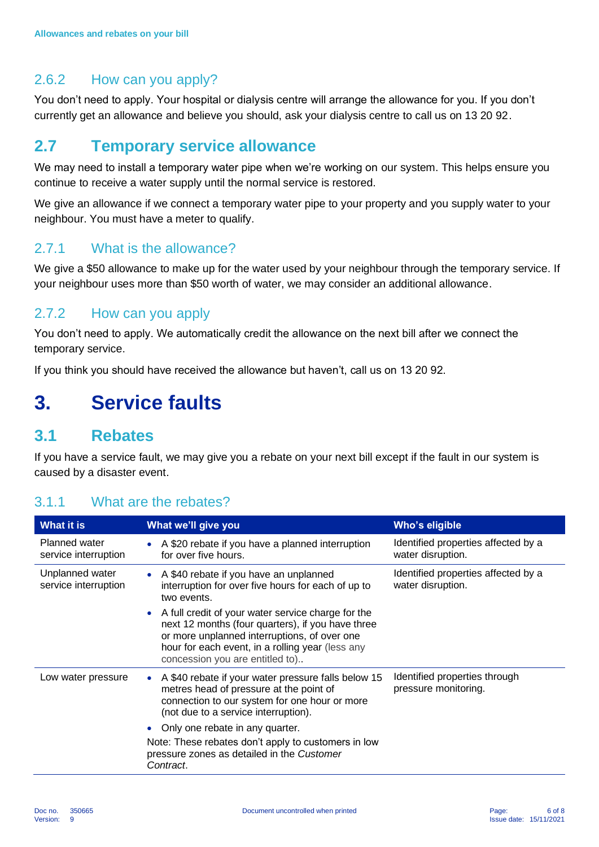#### 2.6.2 How can you apply?

You don't need to apply. Your hospital or dialysis centre will arrange the allowance for you. If you don't currently get an allowance and believe you should, ask your dialysis centre to call us on 13 20 92.

### **2.7 Temporary service allowance**

We may need to install a temporary water pipe when we're working on our system. This helps ensure you continue to receive a water supply until the normal service is restored.

We give an allowance if we connect a temporary water pipe to your property and you supply water to your neighbour. You must have a meter to qualify.

#### 2.7.1 What is the allowance?

We give a \$50 allowance to make up for the water used by your neighbour through the temporary service. If your neighbour uses more than \$50 worth of water, we may consider an additional allowance.

#### 2.7.2 How can you apply

You don't need to apply. We automatically credit the allowance on the next bill after we connect the temporary service.

If you think you should have received the allowance but haven't, call us on 13 20 92.

# **3. Service faults**

#### **3.1 Rebates**

If you have a service fault, we may give you a rebate on your next bill except if the fault in our system is caused by a disaster event.

| What it is                                   | What we'll give you                                                                                                                                                                                                                            | Who's eligible                                           |  |
|----------------------------------------------|------------------------------------------------------------------------------------------------------------------------------------------------------------------------------------------------------------------------------------------------|----------------------------------------------------------|--|
| <b>Planned water</b><br>service interruption | A \$20 rebate if you have a planned interruption<br>for over five hours.                                                                                                                                                                       | Identified properties affected by a<br>water disruption. |  |
| Unplanned water<br>service interruption      | • A \$40 rebate if you have an unplanned<br>interruption for over five hours for each of up to<br>two events.                                                                                                                                  | Identified properties affected by a<br>water disruption. |  |
|                                              | A full credit of your water service charge for the<br>next 12 months (four quarters), if you have three<br>or more unplanned interruptions, of over one<br>hour for each event, in a rolling year (less any<br>concession you are entitled to) |                                                          |  |
| Low water pressure                           | A \$40 rebate if your water pressure falls below 15<br>metres head of pressure at the point of<br>connection to our system for one hour or more<br>(not due to a service interruption).                                                        | Identified properties through<br>pressure monitoring.    |  |
|                                              | Only one rebate in any quarter.                                                                                                                                                                                                                |                                                          |  |
|                                              | Note: These rebates don't apply to customers in low<br>pressure zones as detailed in the Customer<br>Contract.                                                                                                                                 |                                                          |  |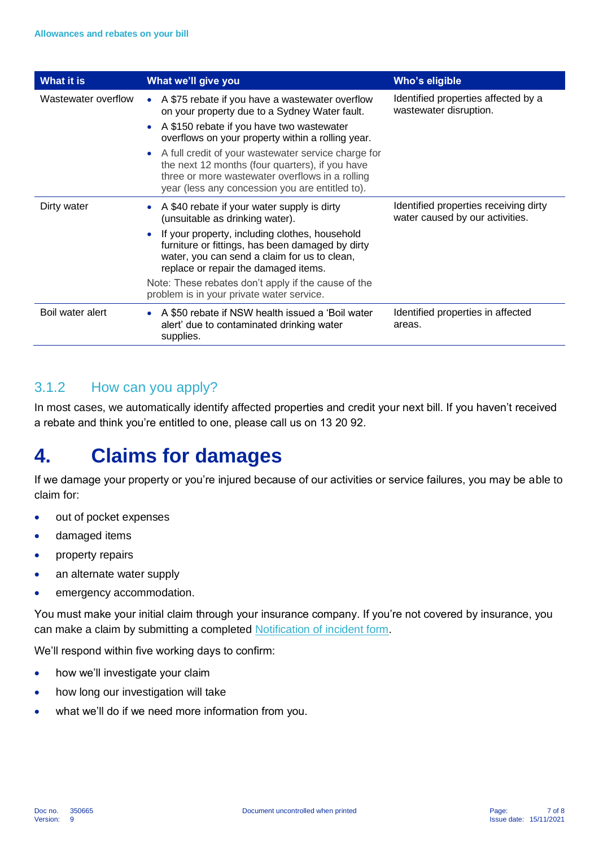| What it is          | What we'll give you                                                                                                                                                                                            | Who's eligible                                                           |
|---------------------|----------------------------------------------------------------------------------------------------------------------------------------------------------------------------------------------------------------|--------------------------------------------------------------------------|
| Wastewater overflow | A \$75 rebate if you have a wastewater overflow<br>on your property due to a Sydney Water fault.                                                                                                               | Identified properties affected by a<br>wastewater disruption.            |
|                     | A \$150 rebate if you have two wastewater<br>overflows on your property within a rolling year.                                                                                                                 |                                                                          |
|                     | • A full credit of your wastewater service charge for<br>the next 12 months (four quarters), if you have<br>three or more wastewater overflows in a rolling<br>year (less any concession you are entitled to). |                                                                          |
| Dirty water         | A \$40 rebate if your water supply is dirty<br>(unsuitable as drinking water).                                                                                                                                 | Identified properties receiving dirty<br>water caused by our activities. |
|                     | If your property, including clothes, household<br>furniture or fittings, has been damaged by dirty<br>water, you can send a claim for us to clean,<br>replace or repair the damaged items.                     |                                                                          |
|                     | Note: These rebates don't apply if the cause of the<br>problem is in your private water service.                                                                                                               |                                                                          |
| Boil water alert    | A \$50 rebate if NSW health issued a 'Boil water<br>alert' due to contaminated drinking water<br>supplies.                                                                                                     | Identified properties in affected<br>areas.                              |

### 3.1.2 How can you apply?

In most cases, we automatically identify affected properties and credit your next bill. If you haven't received a rebate and think you're entitled to one, please call us on 13 20 92.

# **4. Claims for damages**

If we damage your property or you're injured because of our activities or service failures, you may be able to claim for:

- out of pocket expenses
- damaged items
- property repairs
- an alternate water supply
- emergency accommodation.

You must make your initial claim through your insurance company. If you're not covered by insurance, you can make a claim by submitting a completed [Notification of incident form.](https://sydneywater.com.au/content/dam/sydneywater/documents/incident-notification-form.pdf)

We'll respond within five working days to confirm:

- how we'll investigate your claim
- how long our investigation will take
- what we'll do if we need more information from you.